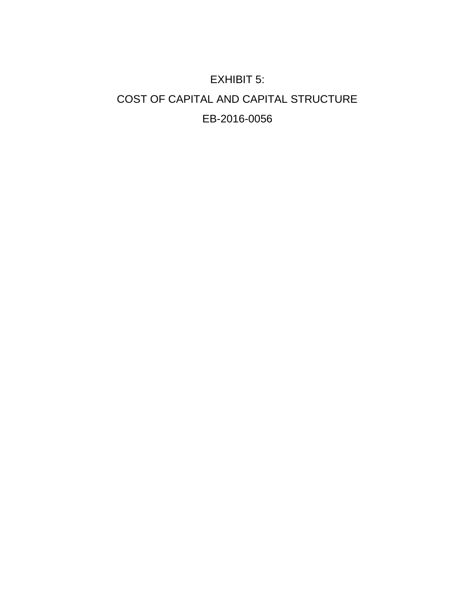# EXHIBIT 5: COST OF CAPITAL AND CAPITAL STRUCTURE EB-2016-0056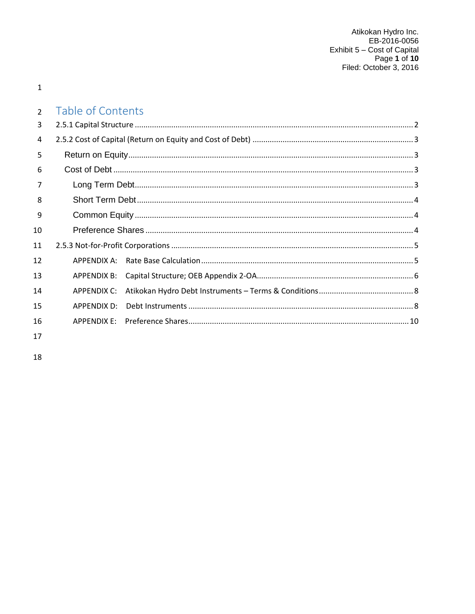$\mathbf 1$ 

#### Table of Contents  $\overline{2}$

| 3  |                    |  |
|----|--------------------|--|
| 4  |                    |  |
| 5  |                    |  |
| 6  |                    |  |
| 7  |                    |  |
| 8  |                    |  |
| 9  |                    |  |
| 10 |                    |  |
| 11 |                    |  |
| 12 | APPENDIX A:        |  |
| 13 | APPENDIX B:        |  |
| 14 | APPENDIX C:        |  |
| 15 | <b>APPENDIX D:</b> |  |
| 16 |                    |  |
|    |                    |  |

17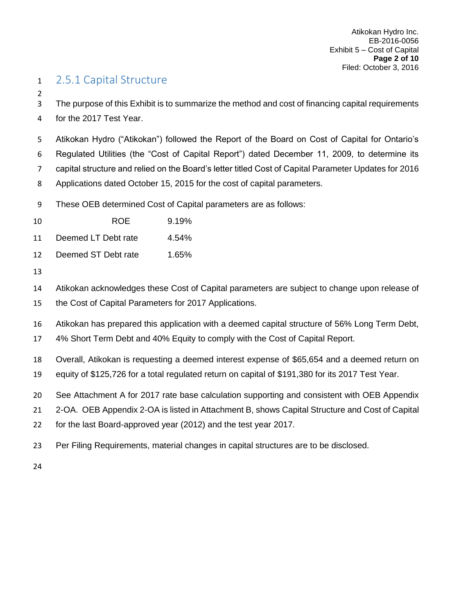## <span id="page-2-0"></span>2.5.1 Capital Structure

 The purpose of this Exhibit is to summarize the method and cost of financing capital requirements for the 2017 Test Year.

 Atikokan Hydro ("Atikokan") followed the Report of the Board on Cost of Capital for Ontario's Regulated Utilities (the "Cost of Capital Report") dated December 11, 2009, to determine its capital structure and relied on the Board's letter titled Cost of Capital Parameter Updates for 2016 Applications dated October 15, 2015 for the cost of capital parameters.

These OEB determined Cost of Capital parameters are as follows:

ROE 9.19%

11 Deemed LT Debt rate 4.54%

- Deemed ST Debt rate 1.65%
- 

Atikokan acknowledges these Cost of Capital parameters are subject to change upon release of

- the Cost of Capital Parameters for 2017 Applications.
- Atikokan has prepared this application with a deemed capital structure of 56% Long Term Debt,
- 4% Short Term Debt and 40% Equity to comply with the Cost of Capital Report.

Overall, Atikokan is requesting a deemed interest expense of \$65,654 and a deemed return on

- equity of \$125,726 for a total regulated return on capital of \$191,380 for its 2017 Test Year.
- See Attachment A for 2017 rate base calculation supporting and consistent with OEB Appendix

2-OA. OEB Appendix 2-OA is listed in Attachment B, shows Capital Structure and Cost of Capital

- for the last Board-approved year (2012) and the test year 2017.
- Per Filing Requirements, material changes in capital structures are to be disclosed.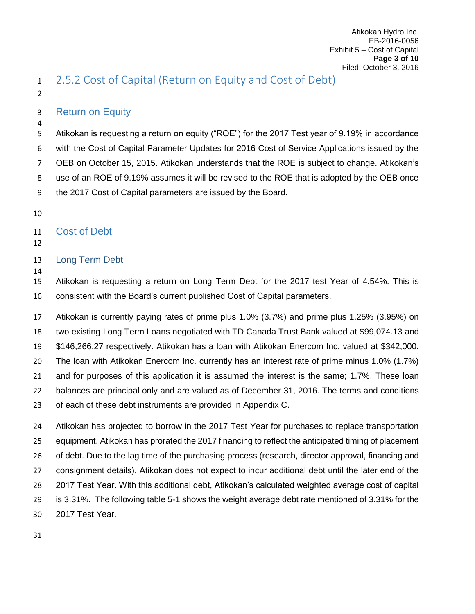## <span id="page-3-0"></span>2.5.2 Cost of Capital (Return on Equity and Cost of Debt)

## <span id="page-3-1"></span>Return on Equity

 Atikokan is requesting a return on equity ("ROE") for the 2017 Test year of 9.19% in accordance with the Cost of Capital Parameter Updates for 2016 Cost of Service Applications issued by the OEB on October 15, 2015. Atikokan understands that the ROE is subject to change. Atikokan's use of an ROE of 9.19% assumes it will be revised to the ROE that is adopted by the OEB once the 2017 Cost of Capital parameters are issued by the Board.

## <span id="page-3-2"></span>Cost of Debt

## <span id="page-3-3"></span>Long Term Debt

 Atikokan is requesting a return on Long Term Debt for the 2017 test Year of 4.54%. This is consistent with the Board's current published Cost of Capital parameters.

 Atikokan is currently paying rates of prime plus 1.0% (3.7%) and prime plus 1.25% (3.95%) on two existing Long Term Loans negotiated with TD Canada Trust Bank valued at \$99,074.13 and \$146,266.27 respectively. Atikokan has a loan with Atikokan Enercom Inc, valued at \$342,000. The loan with Atikokan Enercom Inc. currently has an interest rate of prime minus 1.0% (1.7%) and for purposes of this application it is assumed the interest is the same; 1.7%. These loan balances are principal only and are valued as of December 31, 2016. The terms and conditions of each of these debt instruments are provided in Appendix C.

 Atikokan has projected to borrow in the 2017 Test Year for purchases to replace transportation equipment. Atikokan has prorated the 2017 financing to reflect the anticipated timing of placement of debt. Due to the lag time of the purchasing process (research, director approval, financing and consignment details), Atikokan does not expect to incur additional debt until the later end of the 2017 Test Year. With this additional debt, Atikokan's calculated weighted average cost of capital is 3.31%. The following table 5-1 shows the weight average debt rate mentioned of 3.31% for the 2017 Test Year.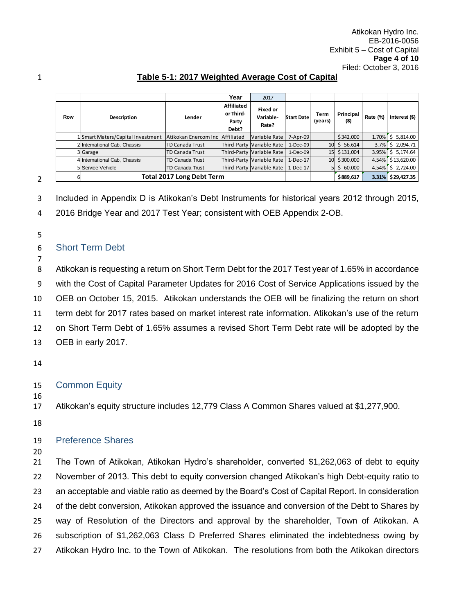Atikokan Hydro Inc. EB-2016-0056 Exhibit 5 – Cost of Capital **Page 4 of 10** 

| Exhibit 5 – Cost of Capi |
|--------------------------|
| Page 4 of                |
| Filed: October 3, 20     |
|                          |
|                          |
|                          |

### **Table 5-1: 2017 Weighte**

|     |                                   |                                  | Year                                      | 2017                                  |                   |                 |                      |          |                      |
|-----|-----------------------------------|----------------------------------|-------------------------------------------|---------------------------------------|-------------------|-----------------|----------------------|----------|----------------------|
| Row | Description                       | Lender                           | Affiliated<br>or Third-<br>Party<br>Debt? | <b>Fixed or</b><br>Variable-<br>Rate? | <b>Start Date</b> | Term<br>(years) | Principal<br>$($ \$) | Rate (%) | Interest $($)$       |
|     | 1 Smart Meters/Capital Investment | Atikokan Enercom Inc             | Affiliated                                | Variable Rate                         | 7-Apr-09          |                 | \$342,000            | 1.70%    | 5,814.00<br>\$.      |
|     | 2 International Cab, Chassis      | <b>TD Canada Trust</b>           |                                           | Third-Party Variable Rate             | $1-Dec-09$        | 10 <sup>1</sup> | \$56,614             | 3.7%     | 2,094.71             |
|     | 3 Garage                          | <b>TD Canada Trust</b>           |                                           | Third-Party Variable Rate             | $1-Dec-09$        |                 | 15 \$131,004         | 3.95%    | \$5,174.64           |
|     | 4 International Cab, Chassis      | TD Canada Trust                  |                                           | Third-Party Variable Rate             | $1-Dec-17$        |                 | 10 \$300,000         | 4.54%    | \$13,620.00          |
|     | <b>5 Service Vehicle</b>          | <b>TD Canada Trust</b>           |                                           | Third-Party Variable Rate             | $1-Dec-17$        | 51              | \$60,000             | 4.54%    | 2,724.00<br>Ś.       |
| ь   |                                   | <b>Total 2017 Long Debt Term</b> |                                           |                                       |                   |                 |                      |          | \$29,427.35<br>3.31% |

Included in Appendix D is Atikokan's Debt Instruments for historical years 2012 through 2015,

2016 Bridge Year and 2017 Test Year; consistent with OEB Appendix 2-OB.

- 
- <span id="page-4-0"></span>Short Term Debt
- 

 Atikokan is requesting a return on Short Term Debt for the 2017 Test year of 1.65% in accordance with the Cost of Capital Parameter Updates for 2016 Cost of Service Applications issued by the OEB on October 15, 2015. Atikokan understands the OEB will be finalizing the return on short term debt for 2017 rates based on market interest rate information. Atikokan's use of the return

on Short Term Debt of 1.65% assumes a revised Short Term Debt rate will be adopted by the

OEB in early 2017.

## <span id="page-4-1"></span>Common Equity

Atikokan's equity structure includes 12,779 Class A Common Shares valued at \$1,277,900.

## <span id="page-4-2"></span>Preference Shares

 The Town of Atikokan, Atikokan Hydro's shareholder, converted \$1,262,063 of debt to equity November of 2013. This debt to equity conversion changed Atikokan's high Debt-equity ratio to an acceptable and viable ratio as deemed by the Board's Cost of Capital Report. In consideration of the debt conversion, Atikokan approved the issuance and conversion of the Debt to Shares by way of Resolution of the Directors and approval by the shareholder, Town of Atikokan. A subscription of \$1,262,063 Class D Preferred Shares eliminated the indebtedness owing by Atikokan Hydro Inc. to the Town of Atikokan. The resolutions from both the Atikokan directors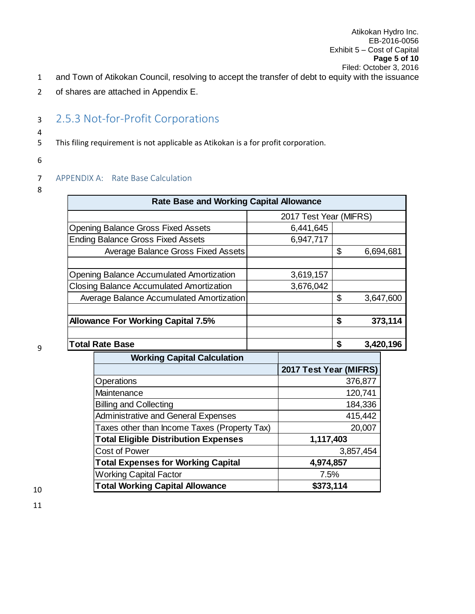2 of shares are attached in Appendix E.

# <span id="page-5-0"></span><sup>3</sup> 2.5.3 Not-for-Profit Corporations

- 5 This filing requirement is not applicable as Atikokan is a for profit corporation.
- 6

4

## <span id="page-5-1"></span>7 APPENDIX A: Rate Base Calculation

8

| <b>Rate Base and Working Capital Allowance</b>  |                 |                        |    |         |           |
|-------------------------------------------------|-----------------|------------------------|----|---------|-----------|
|                                                 |                 | 2017 Test Year (MIFRS) |    |         |           |
| <b>Opening Balance Gross Fixed Assets</b>       |                 | 6,441,645              |    |         |           |
| <b>Ending Balance Gross Fixed Assets</b>        |                 | 6,947,717              |    |         |           |
| <b>Average Balance Gross Fixed Assets</b>       |                 |                        | \$ |         | 6,694,681 |
|                                                 |                 |                        |    |         |           |
| <b>Opening Balance Accumulated Amortization</b> |                 | 3,619,157              |    |         |           |
| <b>Closing Balance Accumulated Amortization</b> |                 | 3,676,042              |    |         |           |
| Average Balance Accumulated Amortization        | \$<br>3,647,600 |                        |    |         |           |
|                                                 |                 |                        |    |         |           |
| <b>Allowance For Working Capital 7.5%</b>       |                 |                        | \$ |         | 373,114   |
|                                                 |                 |                        |    |         |           |
| <b>Total Rate Base</b>                          |                 |                        | \$ |         | 3,420,196 |
| <b>Working Capital Calculation</b>              |                 |                        |    |         |           |
|                                                 |                 | 2017 Test Year (MIFRS) |    |         |           |
| Operations                                      |                 |                        |    | 376,877 |           |
| Maintenance                                     |                 |                        |    | 120,741 |           |
| <b>Billing and Collecting</b>                   |                 |                        |    | 184,336 |           |
| <b>Administrative and General Expenses</b>      |                 |                        |    | 415,442 |           |

Taxes other than Income Taxes (Property Tax) | 20,007

Cost of Power 2,857,454

**Total Eligible Distribution Expenses 1,117,403**

**Total Expenses for Working Capital 4,974,857** Working Capital Factor **7.5% Total Working Capital Allowance 1988 \$373,114**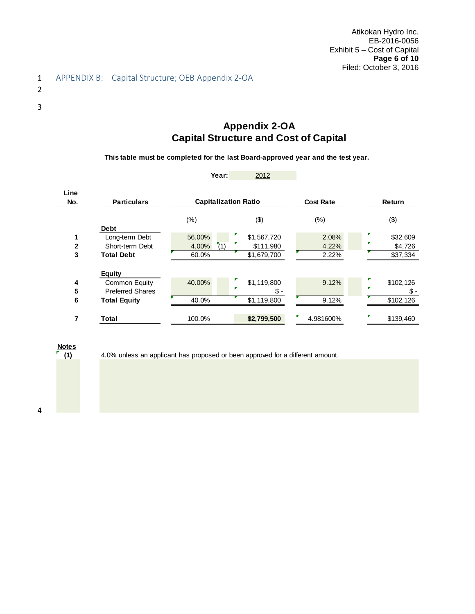<span id="page-6-0"></span>2

3

## **Appendix 2-OA Capital Structure and Cost of Capital**

**This table must be completed for the last Board-approved year and the test year.**

|             |                                          | Year:                       | 2012               |                  |                       |
|-------------|------------------------------------------|-----------------------------|--------------------|------------------|-----------------------|
| Line<br>No. | <b>Particulars</b>                       | <b>Capitalization Ratio</b> |                    | <b>Cost Rate</b> | Return                |
|             | <b>Debt</b>                              | $(\%)$                      | (3)                | $(\% )$          | (3)                   |
|             | Long-term Debt                           | 56.00%                      | \$1,567,720        | 2.08%            | \$32,609              |
| 2           | Short-term Debt                          | (1)<br>4.00%                | \$111,980          | 4.22%            | \$4,726               |
| 3           | <b>Total Debt</b>                        | 60.0%                       | \$1,679,700        | 2.22%            | \$37,334              |
|             | <b>Equity</b>                            |                             |                    |                  |                       |
| 4<br>5      | Common Equity<br><b>Preferred Shares</b> | 40.00%                      | \$1,119,800<br>\$. | 9.12%            | \$102,126<br>v<br>Տ.- |
| 6           | <b>Total Equity</b>                      | 40.0%                       | \$1,119,800        | 9.12%            | \$102,126             |
| 7           | <b>Total</b>                             | 100.0%                      | \$2,799,500        | σ<br>4.981600%   | \$139,460             |

## **Notes**



4.0% unless an applicant has proposed or been approved for a different amount.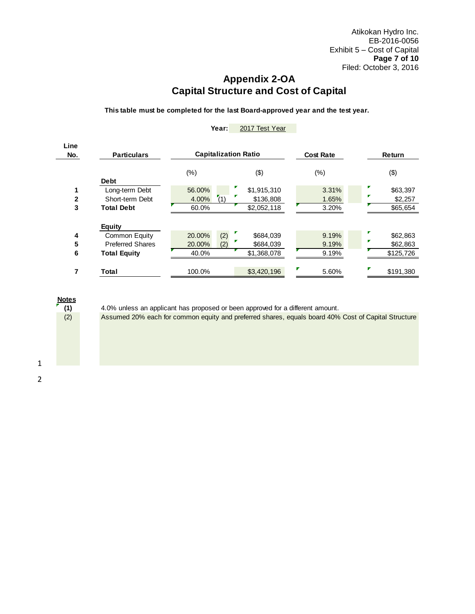## **Appendix 2-OA Capital Structure and Cost of Capital**

**This table must be completed for the last Board-approved year and the test year.**

| Line<br>No. | <b>Particulars</b>                                                               | <b>Capitalization Ratio</b>             |                                         | <b>Cost Rate</b>        | Return                            |
|-------------|----------------------------------------------------------------------------------|-----------------------------------------|-----------------------------------------|-------------------------|-----------------------------------|
|             | <b>Debt</b>                                                                      | $(\%)$                                  | (3)                                     | $(\%)$                  | (3)                               |
| 2<br>3      | Long-term Debt<br>Short-term Debt<br><b>Total Debt</b>                           | 56.00%<br>(1)<br>4.00%<br>60.0%         | \$1,915,310<br>\$136,808<br>\$2,052,118 | 3.31%<br>1.65%<br>3.20% | \$63,397<br>\$2,257<br>\$65,654   |
| 4<br>5<br>6 | <b>Equity</b><br>Common Equity<br><b>Preferred Shares</b><br><b>Total Equity</b> | (2)<br>20.00%<br>20.00%<br>(2)<br>40.0% | \$684,039<br>\$684,039<br>\$1,368,078   | 9.19%<br>9.19%<br>9.19% | \$62,863<br>\$62,863<br>\$125,726 |
|             | Total                                                                            | 100.0%                                  | \$3,420,196                             | 5.60%                   | \$191.380                         |

#### **Year:** 2017 Test Year



4.0% unless an applicant has proposed or been approved for a different amount.

Assumed 20% each for common equity and preferred shares, equals board 40% Cost of Capital Structure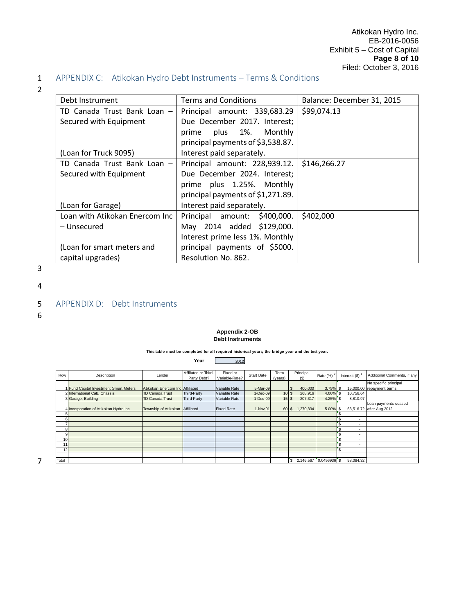┑

## 1 APPENDIX C: Atikokan Hydro Debt Instruments – Terms & Conditions

- 2
- <span id="page-8-0"></span>Debt Instrument Terms and Conditions Balance: December 31, 2015

| PCP LIIJU 91116116             | נוסווטטס פווט פווויס              | Balance: Deceniber 91, 2019 |
|--------------------------------|-----------------------------------|-----------------------------|
| TD Canada Trust Bank Loan -    | Principal amount: 339,683.29      | \$99,074.13                 |
| Secured with Equipment         | Due December 2017. Interest;      |                             |
|                                | plus 1%. Monthly<br>prime         |                             |
|                                | principal payments of \$3,538.87. |                             |
| (Loan for Truck 9095)          | Interest paid separately.         |                             |
| TD Canada Trust Bank Loan -    | Principal amount: 228,939.12.     | \$146,266.27                |
| Secured with Equipment         | Due December 2024. Interest;      |                             |
|                                | prime plus 1.25%. Monthly         |                             |
|                                | principal payments of \$1,271.89. |                             |
| (Loan for Garage)              | Interest paid separately.         |                             |
| Loan with Atikokan Enercom Inc | Principal amount: \$400,000.      | \$402,000                   |
| – Unsecured                    | May 2014 added \$129,000.         |                             |
|                                | Interest prime less 1%. Monthly   |                             |
| (Loan for smart meters and     | principal payments of \$5000.     |                             |
| capital upgrades)              | Resolution No. 862.               |                             |

3

4

#### <span id="page-8-1"></span>5 APPENDIX D: Debt Instruments

6

#### **Appendix 2-OB Debt Instruments**

**This table must be completed for all required historical years, the bridge year and the test year.**

**Year** 2012

| Row   | Description                            | Lender                          | Affiliated or Third- | Fixed or          | <b>Start Date</b> | Term    | Principal           | Rate $(\%)$ <sup>2</sup> | Interest (\$)                  | Additional Comments, if any |
|-------|----------------------------------------|---------------------------------|----------------------|-------------------|-------------------|---------|---------------------|--------------------------|--------------------------------|-----------------------------|
|       |                                        |                                 | Party Debt?          | Variable-Rate?    |                   | (years) | (S)                 |                          |                                |                             |
|       |                                        |                                 |                      |                   |                   |         |                     |                          |                                | No specific principal       |
|       | 1 Fund Capital Investment Smart Meters | Atikokan Enercom Inc Affiliated |                      | Variable Rate     | 5-Mar-09          |         | 400,000<br><b>S</b> | $3.75\%$ \$              |                                | 15,000.00 repayment terms   |
|       | 2 International Cab, Chassis           | TD Canada Trust                 | Third-Party          | Variable Rate     | $1-Dec-09$        | 10S     | 268,916             | $4.00\%$ \$              | 10,756.64                      |                             |
|       | 3 Garage, Building                     | <b>TD Canada Trust</b>          | Third-Party          | Variable Rate     | $1-Dec-09$        | 15S     | 207,317             | $4.25\%$ S               | 8,810.97                       |                             |
|       |                                        |                                 |                      |                   |                   |         |                     |                          |                                | Loan payments ceased        |
|       | 4 Incorporation of Atikokan Hydro Inc  | Township of Atikokan Affiliated |                      | <b>Fixed Rate</b> | 1-Nov-01          | 60 \$   | 1,270,334           | $5.00\%$ \$              |                                | 63,516.72 after Aug 2012    |
|       |                                        |                                 |                      |                   |                   |         |                     |                          | Эħ                             |                             |
|       |                                        |                                 |                      |                   |                   |         |                     |                          |                                |                             |
|       |                                        |                                 |                      |                   |                   |         |                     |                          | Эħ                             |                             |
| 8     |                                        |                                 |                      |                   |                   |         |                     |                          | 'S<br>٠                        |                             |
| 9     |                                        |                                 |                      |                   |                   |         |                     |                          | 'S<br>٠                        |                             |
| 10    |                                        |                                 |                      |                   |                   |         |                     |                          | $\overline{\phantom{a}}$       |                             |
| 11    |                                        |                                 |                      |                   |                   |         |                     |                          | ٠                              |                             |
| 12    |                                        |                                 |                      |                   |                   |         |                     |                          | 'S<br>$\overline{\phantom{a}}$ |                             |
|       |                                        |                                 |                      |                   |                   |         |                     |                          |                                |                             |
| Total |                                        |                                 |                      |                   |                   |         | $\mathbf{s}$        | 2,146,567 0.0456936 \$   | 98,084.32                      |                             |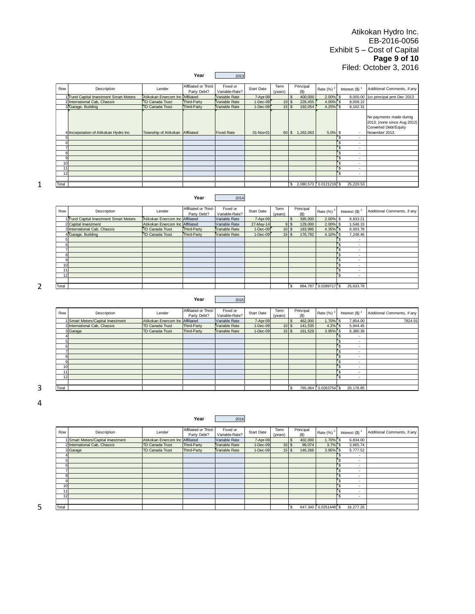Atikokan Hydro Inc. EB-2016-0056 Exhibit 5 – Cost of Capital **Page 9 of 10** Filed: October 3, 2016

|                     |                                                    |                                    | Year                                | 2013                            |                             |                 |                                        |                          |                                                          |                                                                                                   |
|---------------------|----------------------------------------------------|------------------------------------|-------------------------------------|---------------------------------|-----------------------------|-----------------|----------------------------------------|--------------------------|----------------------------------------------------------|---------------------------------------------------------------------------------------------------|
| Row                 | Description                                        | Lender                             | Affiliated or Third-<br>Party Debt? | Fixed or<br>Variable-Rate?      | <b>Start Date</b>           | Term<br>(years) | Principal<br>(S)                       | Rate (%)                 | Interest $(\$)^1$                                        | Additional Comments, if any                                                                       |
|                     | 1 Fund Capital Investment Smart Meters             | Atikokan Enercom Inc               | Affiliated                          | Variable Rate                   | 7-Apr-09                    |                 | 400,000                                | 2.00%                    | 8,000.00<br>$\mathfrak{s}$                               | 1st principal pmt Dec 2013                                                                        |
|                     | 2 International Cab, Chassis<br>3 Garage, Building | TD Canada Trust<br>TD Canada Trust | Third-Party<br>Third-Party          | Variable Rate<br>Variable Rate  | 1-Dec-09<br>1-Dec-09        | 10<br>15        | 226,455<br>$\sqrt{3}$<br>192,054<br>\$ | 4.00%<br>4.25%           | 9,058.22<br>$\mathfrak{S}$<br>8,162.31<br>$\mathfrak{s}$ |                                                                                                   |
| 5                   | 4 Incorporation of Atikokan Hydro Inc              | Township of Atikokan               | Affiliated                          | <b>Fixed Rate</b>               | 01-Nov-01                   |                 | 60 \$ 1,262,063                        | 5.0%                     | \$<br>\$<br>$\overline{\phantom{a}}$                     | No payments made during<br>2013; (none since Aug 2012)<br>Converted Debt/Equity<br>November 2013. |
| 6<br>$\overline{7}$ |                                                    |                                    |                                     |                                 |                             |                 |                                        |                          | $\sqrt{3}$<br>$\sim$<br>$\overline{\phantom{a}}$<br>'s   |                                                                                                   |
| 8                   |                                                    |                                    |                                     |                                 |                             |                 |                                        |                          | $\overline{\phantom{a}}$<br>$\sqrt{3}$                   |                                                                                                   |
| $\overline{9}$      |                                                    |                                    |                                     |                                 |                             |                 |                                        |                          | $\mathbf{s}$<br>$\sim$                                   |                                                                                                   |
| 10<br>11            |                                                    |                                    |                                     |                                 |                             |                 |                                        |                          | 's<br>$\overline{\phantom{a}}$<br>$\mathbf{s}$           |                                                                                                   |
| 12                  |                                                    |                                    |                                     |                                 |                             |                 |                                        |                          | $\mathbf{s}$<br>$\sim$                                   |                                                                                                   |
|                     |                                                    |                                    |                                     |                                 |                             |                 |                                        |                          |                                                          |                                                                                                   |
| Total               |                                                    |                                    |                                     |                                 |                             |                 | 2,080,573<br>$\mathbf{\hat{s}}$        | $0.0121219$ \$           | 25,220.53                                                |                                                                                                   |
|                     |                                                    |                                    | Year                                | 2014                            |                             |                 |                                        |                          |                                                          |                                                                                                   |
| Row                 | Description                                        | Lender                             | Affiliated or Third-<br>Party Debt? | Fixed or<br>Variable-Rate?      | Start Date                  | Term<br>(years) | Principal<br>$($ \$)                   | Rate $(\%)$ <sup>2</sup> | Interest $(\$)^1$                                        | Additional Comments, if any                                                                       |
|                     | 1 Fund Capital Investment Smart Meters             | Atikokan Enercom Inc               | Affiliated                          | Variable Rate                   | 7-Apr-09                    |                 | 395,000<br>\$                          | 2.00%                    | 8,833.21<br>\$                                           |                                                                                                   |
|                     | 2 Capital Investment                               | Atikokan Enercom Inc               | Affiliated                          | Variable Rate                   | 27-May-14                   |                 | 129,000<br>9 <sup>°</sup>              | 2.00%                    | \$<br>1,548.33                                           |                                                                                                   |
|                     | 3 International Cab, Chassis                       | <b>TD Canada Trust</b>             | Third-Party<br>Third-Party          | Variable Rate                   | 1-Dec-09<br>1-Dec-09        | 10S             | 183,995<br>15S                         | 4.35%<br>4.10%           | 8,003.78<br>'s<br>7,248.46<br>$\mathsf{s}$               |                                                                                                   |
| $\overline{5}$      | 4 Garage, Building                                 | <b>TD Canada Trust</b>             |                                     | Variable Rate                   |                             |                 | 176,792                                |                          | 'S<br>$\sim$                                             |                                                                                                   |
| 6                   |                                                    |                                    |                                     |                                 |                             |                 |                                        |                          | 's<br>$\sim$                                             |                                                                                                   |
| $\overline{7}$      |                                                    |                                    |                                     |                                 |                             |                 |                                        |                          | 's<br>÷.                                                 |                                                                                                   |
| 8<br>$\mathbf{Q}$   |                                                    |                                    |                                     |                                 |                             |                 |                                        |                          | 's                                                       |                                                                                                   |
| 10                  |                                                    |                                    |                                     |                                 |                             |                 |                                        |                          | 's<br>'S                                                 |                                                                                                   |
| 11                  |                                                    |                                    |                                     |                                 |                             |                 |                                        |                          | 'S<br>$\sim$                                             |                                                                                                   |
| 12                  |                                                    |                                    |                                     |                                 |                             |                 |                                        |                          |                                                          |                                                                                                   |
|                     |                                                    |                                    |                                     |                                 |                             |                 |                                        |                          |                                                          |                                                                                                   |
| Total               |                                                    |                                    |                                     |                                 |                             |                 | £.                                     | 884,787 0.0289717 \$     | 25,633.78                                                |                                                                                                   |
|                     |                                                    |                                    | Year                                | 2015                            |                             |                 |                                        |                          |                                                          |                                                                                                   |
| Row                 | Description                                        | Lender                             | Affiliated or Third-<br>Party Debt? | Fixed or<br>Variable-Rate?      | Start Date                  | Term<br>(years) | Principal<br>$($ \$)                   | Rate $(\%)$ <sup>2</sup> | Interest $(S)$ <sup>1</sup>                              | Additional Comments, if any                                                                       |
|                     | 1 Smart Meters/Capital Investment                  | Atikokan Enercom Inc               | Affiliated                          | Variable Rate                   | 7-Apr-09                    |                 | 462,000                                | 1.70%                    | 7,854.00<br>S                                            | 7824.91                                                                                           |
|                     | 2 International Cab, Chassis                       | TD Canada Trust                    | Third-Party                         | Variable Rate                   | 1-Dec-09                    | 10S             | 141,535                                | 4.2%                     | 5,944.45<br>'S                                           |                                                                                                   |
| $\overline{a}$      | 3 Garage                                           | <b>TD Canada Trust</b>             | <b>Third-Party</b>                  | Variable Rate                   | 1-Dec-09                    | 15              | 161,529<br>$\mathbf{\hat{s}}$          | 3.95%                    | 6,380.39                                                 |                                                                                                   |
| 5                   |                                                    |                                    |                                     |                                 |                             |                 |                                        |                          | 's                                                       |                                                                                                   |
| 6                   |                                                    |                                    |                                     |                                 |                             |                 |                                        |                          | 's<br>÷.                                                 |                                                                                                   |
| $\overline{7}$      |                                                    |                                    |                                     |                                 |                             |                 |                                        |                          | $\sqrt{3}$<br>$\overline{a}$                             |                                                                                                   |
| 8<br>q              |                                                    |                                    |                                     |                                 |                             |                 |                                        |                          | 's<br>'s<br>$\overline{a}$                               |                                                                                                   |
| 10                  |                                                    |                                    |                                     |                                 |                             |                 |                                        |                          |                                                          |                                                                                                   |
| 11                  |                                                    |                                    |                                     |                                 |                             |                 |                                        |                          | 'S                                                       |                                                                                                   |
| 12                  |                                                    |                                    |                                     |                                 |                             |                 |                                        |                          | $\mathbf{s}$                                             |                                                                                                   |
| Total               |                                                    |                                    |                                     |                                 |                             |                 | \$                                     | 765,064 0.0263754        | 20,178.85<br>'s                                          |                                                                                                   |
| Row                 | Description                                        | Lender                             | Year<br>Affiliated or Third-        | 2016<br>Fixed or                | Start Date                  | Term            | Principal                              | Rate $(\%)$ <sup>2</sup> | Interest $(\$)^1$                                        | Additional Comments, if any                                                                       |
|                     | 1 Smart Meters/Canital Investment                  | Atikokan Enercom Inc.              | Party Debt?<br>heteilitt            | Variable-Rate?<br>Variable Rate | $7 - \Delta n r - \Omega Q$ | (years)         | $($ \$)<br>402,000                     | 1,70%                    | 6.834.00                                                 |                                                                                                   |

1

2

| Row   | Description                     | Lender                          | Affiliated or Third-<br>Party Debt? | Fixed or<br>Variable-Rate? | Start Date | Term<br>(years) | Principal       | Rate $(%)^2$         | Interest (\$)            | Additional Comments, if any |
|-------|---------------------------------|---------------------------------|-------------------------------------|----------------------------|------------|-----------------|-----------------|----------------------|--------------------------|-----------------------------|
|       | Smart Meters/Capital Investment | Atikokan Enercom Inc Affiliated |                                     | Variable Rate              | 7-Apr-09   |                 | 462,000<br>- 35 | $1.70\%$ S           | 7,854.00                 | 7824.91                     |
|       | 2 International Cab, Chassis    | <b>TD Canada Trust</b>          | Third-Party                         | Variable Rate              | 1-Dec-09   | 10S             | 141,535         | $4.2\%$ \$           | 5,944.45                 |                             |
|       | 3 Garage                        | TD Canada Trust                 | Third-Party                         | Variable Rate              | 1-Dec-09   | 15S             | 161,529         | $3.95\%$ \$          | 6,380.39                 |                             |
|       |                                 |                                 |                                     |                            |            |                 |                 |                      | . .                      |                             |
|       |                                 |                                 |                                     |                            |            |                 |                 |                      |                          |                             |
|       |                                 |                                 |                                     |                            |            |                 |                 |                      | . .                      |                             |
|       |                                 |                                 |                                     |                            |            |                 |                 |                      | . .                      |                             |
|       |                                 |                                 |                                     |                            |            |                 |                 |                      |                          |                             |
|       |                                 |                                 |                                     |                            |            |                 |                 |                      | . .                      |                             |
| 10    |                                 |                                 |                                     |                            |            |                 |                 |                      | $\overline{\phantom{a}}$ |                             |
| 11    |                                 |                                 |                                     |                            |            |                 |                 |                      |                          |                             |
| 12    |                                 |                                 |                                     |                            |            |                 |                 |                      | . .                      |                             |
|       |                                 |                                 |                                     |                            |            |                 |                 |                      |                          |                             |
| Total |                                 |                                 |                                     |                            |            |                 |                 | 765,064 0.0263754 \$ | 20,178.85                |                             |

3 4

| Row   | Description                     | Lender                          | Affiliated or Third- | Fixed or       | Start Date | Term    | Principal |                      | Interest (\$) | Additional Comments, if any |
|-------|---------------------------------|---------------------------------|----------------------|----------------|------------|---------|-----------|----------------------|---------------|-----------------------------|
|       |                                 |                                 | Party Debt?          | Variable-Rate? |            | (years) | (S)       | Rate $(\%)^2$        |               |                             |
|       | Smart Meters/Capital Investment | Atikokan Enercom Inc Affiliated |                      | Variable Rate  | $7-Apr-09$ |         | 402,000   | $1.70\%$ S           | 6,834.00      |                             |
|       | 2 International Cab, Chassis    | TD Canada Trust                 | <b>Third-Party</b>   | Variable Rate  | $1-Dec-09$ | 10S     | 99,074    | $3.7\%$ S            | 3,665.74      |                             |
|       | 3 Garage                        | <b>TD Canada Trust</b>          | <b>Third-Party</b>   | Variable Rate  | $1-Dec-09$ | 15S     | 146,266   | 3.95%                | 5.777.52      |                             |
|       |                                 |                                 |                      |                |            |         |           |                      |               |                             |
|       |                                 |                                 |                      |                |            |         |           |                      |               |                             |
|       |                                 |                                 |                      |                |            |         |           |                      |               |                             |
|       |                                 |                                 |                      |                |            |         |           |                      |               |                             |
|       |                                 |                                 |                      |                |            |         |           |                      |               |                             |
|       |                                 |                                 |                      |                |            |         |           |                      |               |                             |
| 10    |                                 |                                 |                      |                |            |         |           |                      |               |                             |
|       |                                 |                                 |                      |                |            |         |           |                      |               |                             |
| 12    |                                 |                                 |                      |                |            |         |           |                      | ۰             |                             |
|       |                                 |                                 |                      |                |            |         |           |                      |               |                             |
| Total |                                 |                                 |                      |                |            |         |           | 647,340 0.0251448 \$ | 16,277.26     |                             |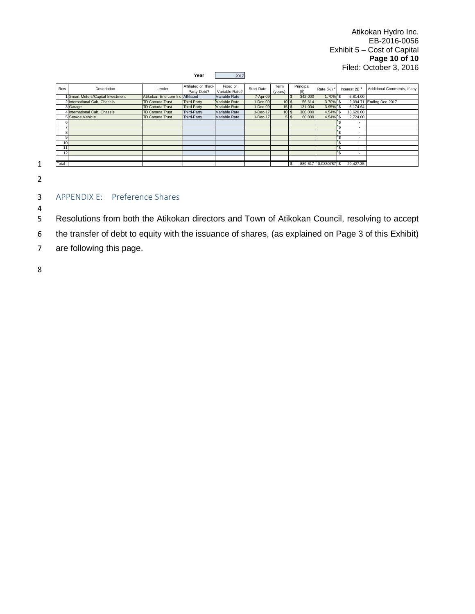Atikokan Hydro Inc. EB-2016-0056 Exhibit 5 – Cost of Capital **Page 10 of 10** Filed: October 3, 2016

#### **Year** 2017

| Row            | Description                     | Lender                          | Affiliated or Third-<br>Party Debt? | Fixed or<br>Variable-Rate? | Start Date | Term<br>(years) | Principal<br>(S)         | Rate $(%)^2$         | Interest (\$) | Additional Comments, if any |
|----------------|---------------------------------|---------------------------------|-------------------------------------|----------------------------|------------|-----------------|--------------------------|----------------------|---------------|-----------------------------|
|                | Smart Meters/Capital Investment | Atikokan Enercom Inc Affiliated |                                     | Variable Rate              | 7-Apr-09   |                 | 342,000<br>.q            | 1.70% S              | 5.814.00      |                             |
|                | 2 International Cab. Chassis    | <b>TD Canada Trust</b>          | <b>Third-Party</b>                  | Variable Rate              | $1-Dec-09$ | 10S             | 56.614                   | 3.70% \$             | 2.094.71      | Ending Dec 2017             |
|                | 3 Garage                        | <b>TD Canada Trust</b>          | <b>Third-Party</b>                  | Variable Rate              | $1-Dec-09$ | 15S             | 131,004                  | $3.95\%$ \$          | 5.174.64      |                             |
|                | 4 International Cab, Chassis    | <b>TD Canada Trust</b>          | <b>Third-Party</b>                  | Variable Rate              | 1-Dec-17   | 10S             | 300,000                  | 4.54% S              | 13.620.00     |                             |
|                | 5 Service Vehicle               | <b>TD Canada Trust</b>          | <b>Third-Party</b>                  | Variable Rate              | 1-Dec-17   |                 | 60,000<br>5 <sup>5</sup> | 4.54% \$             | 2,724.00      |                             |
| 6              |                                 |                                 |                                     |                            |            |                 |                          |                      |               |                             |
|                |                                 |                                 |                                     |                            |            |                 |                          |                      |               |                             |
| 8              |                                 |                                 |                                     |                            |            |                 |                          |                      |               |                             |
| $\overline{9}$ |                                 |                                 |                                     |                            |            |                 |                          |                      |               |                             |
| 10             |                                 |                                 |                                     |                            |            |                 |                          |                      |               |                             |
| 11             |                                 |                                 |                                     |                            |            |                 |                          |                      |               |                             |
| 12             |                                 |                                 |                                     |                            |            |                 |                          |                      |               |                             |
|                |                                 |                                 |                                     |                            |            |                 |                          |                      |               |                             |
| Total          |                                 |                                 |                                     |                            |            |                 | $\mathbf{s}$             | 889.617 0.0330787 \$ | 29.427.35     |                             |

1

## 2

<span id="page-10-0"></span>3 APPENDIX E: Preference Shares

 $\frac{4}{5}$ 5 Resolutions from both the Atikokan directors and Town of Atikokan Council, resolving to accept

6 the transfer of debt to equity with the issuance of shares, (as explained on Page 3 of this Exhibit)

7 are following this page.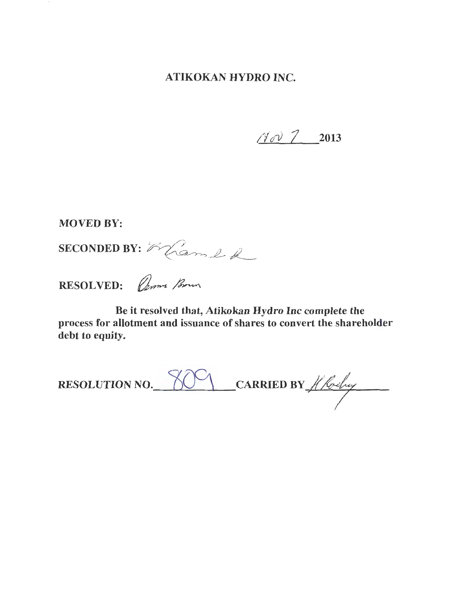## ATIKOKAN HYDRO INC.

 $110222013$ 

**MOVED BY:** 

SECONDED BY: Eland &

RESOLVED: *Comme Brown* 

Be it resolved that, Atikokan Hydro Inc complete the process for allotment and issuance of shares to convert the shareholder debt to equity.

RESOLUTION NO.  $809$  CARRIED BY  $#$  for by